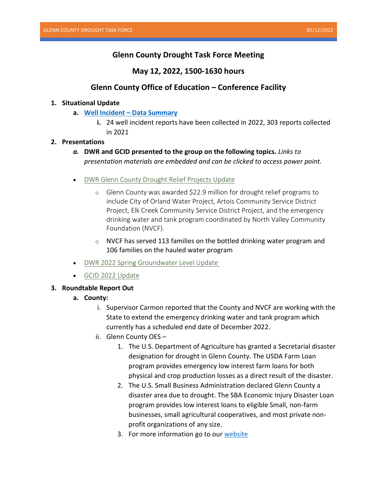# **Glenn County Drought Task Force Meeting**

## **May 12, 2022, 1500-1630 hours**

## **Glenn County Office of Education – Conference Facility**

### **1. Situational Update**

- **a. Well Incident – [Data Summary](https://storymaps.arcgis.com/stories/d24176a9a1974ffd8b6e4e51deff8540)**
	- **i.** 24 well incident reports have been collected in 2022, 303 reports collected in 2021

## **2. Presentations**

- *a.* **DWR and GCID presented to the group on the following topics.** *Links to presentation materials are embedded and can be clicked to access power point.*
- DWR [Glenn County Drought Relief Projects Update](https://www.countyofglenn.net/sites/default/files/Office_of_Emergency_Services/DroughtTaskForce_OrlandSummary_May%2012%202022%20PP.pdf)
	- o Glenn County was awarded \$22.9 million for drought relief programs to include City of Orland Water Project, Artois Community Service District Project, Elk Creek Community Service District Project, and the emergency drinking water and tank program coordinated by North Valley Community Foundation (NVCF).
	- o NVCF has served 113 families on the bottled drinking water program and 106 families on the hauled water program
- DWR [2022 Spring Groundwater Level Update](https://www.countyofglenn.net/sites/default/files/Office_of_Emergency_Services/Drought%20DWR%20Spring%202022%20GWLs_GlennCo%205-12-22%20PP.pdf)
- GCID [2022 Update](https://www.countyofglenn.net/sites/default/files/Office_of_Emergency_Services/Drought%20TF%20GCID%202022_05_12-22%20PP.pdf)

### **3. Roundtable Report Out**

### **a. County:**

- i. Supervisor Carmon reported that the County and NVCF are working with the State to extend the emergency drinking water and tank program which currently has a scheduled end date of December 2022.
- ii. Glenn County OES
	- 1. The U.S. Department of Agriculture has granted a Secretarial disaster designation for drought in Glenn County. The USDA Farm Loan program provides emergency low interest farm loans for both physical and crop production losses as a direct result of the disaster.
	- 2. The U.S. Small Business Administration declared Glenn County a disaster area due to drought. The SBA Economic Injury Disaster Loan program provides low interest loans to eligible Small, non-farm businesses, small agricultural cooperatives, and most private nonprofit organizations of any size.
	- 3. For more information go to our [website](https://www.countyofglenn.net/dept/sheriff/office-emergency-services/drought/drought-assistance-programs)